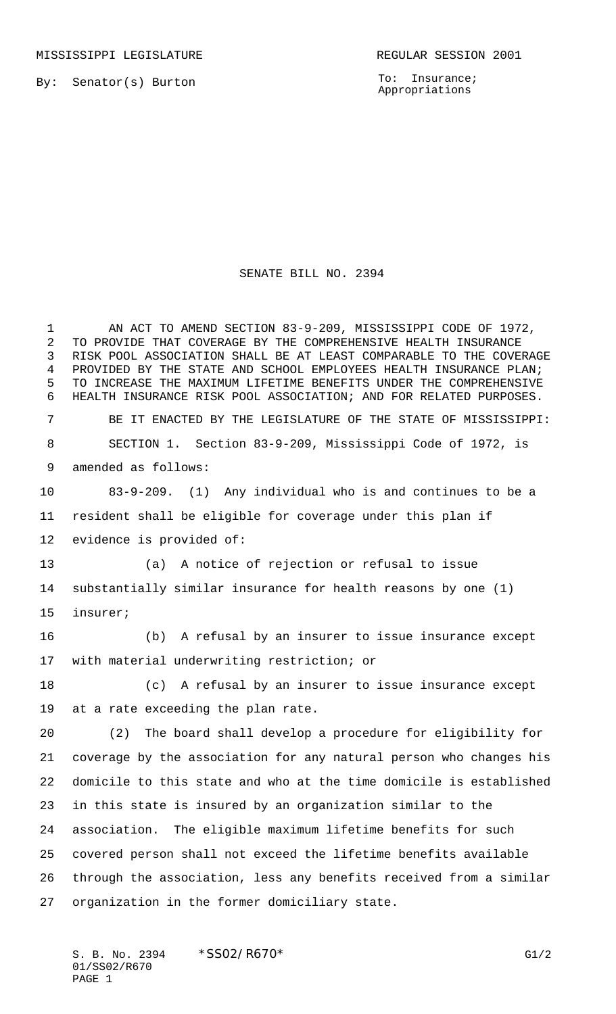By: Senator(s) Burton

To: Insurance; Appropriations

## SENATE BILL NO. 2394

 AN ACT TO AMEND SECTION 83-9-209, MISSISSIPPI CODE OF 1972, TO PROVIDE THAT COVERAGE BY THE COMPREHENSIVE HEALTH INSURANCE RISK POOL ASSOCIATION SHALL BE AT LEAST COMPARABLE TO THE COVERAGE PROVIDED BY THE STATE AND SCHOOL EMPLOYEES HEALTH INSURANCE PLAN; TO INCREASE THE MAXIMUM LIFETIME BENEFITS UNDER THE COMPREHENSIVE HEALTH INSURANCE RISK POOL ASSOCIATION; AND FOR RELATED PURPOSES. BE IT ENACTED BY THE LEGISLATURE OF THE STATE OF MISSISSIPPI: SECTION 1. Section 83-9-209, Mississippi Code of 1972, is amended as follows: 83-9-209. (1) Any individual who is and continues to be a resident shall be eligible for coverage under this plan if evidence is provided of: (a) A notice of rejection or refusal to issue substantially similar insurance for health reasons by one (1) insurer; (b) A refusal by an insurer to issue insurance except with material underwriting restriction; or (c) A refusal by an insurer to issue insurance except at a rate exceeding the plan rate. (2) The board shall develop a procedure for eligibility for coverage by the association for any natural person who changes his domicile to this state and who at the time domicile is established in this state is insured by an organization similar to the association. The eligible maximum lifetime benefits for such covered person shall not exceed the lifetime benefits available through the association, less any benefits received from a similar organization in the former domiciliary state.

S. B. No. 2394  $*SSO2/RO70*$  G1/2 01/SS02/R670 PAGE 1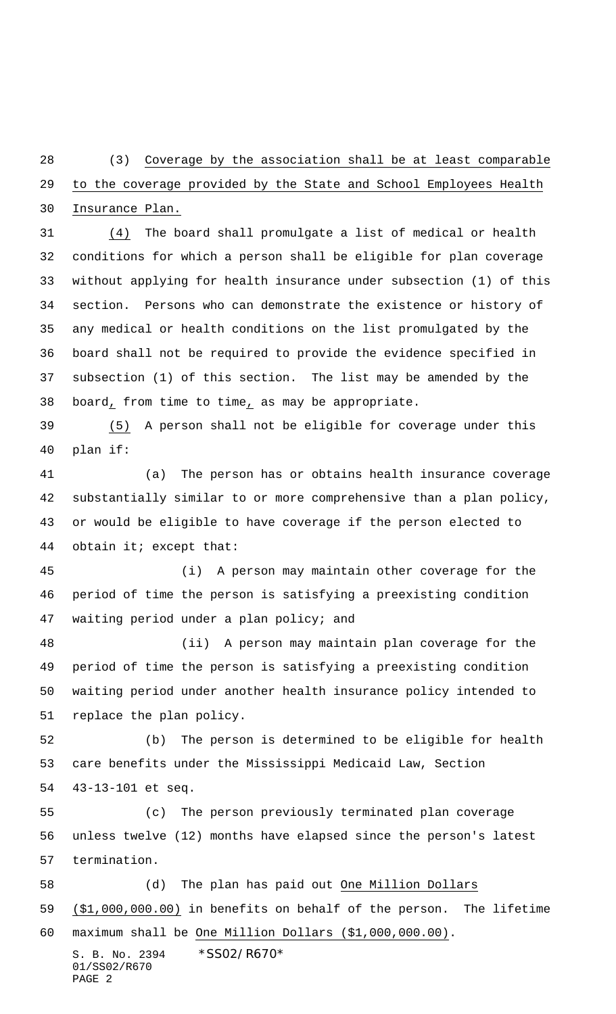(3) Coverage by the association shall be at least comparable to the coverage provided by the State and School Employees Health Insurance Plan.

 (4) The board shall promulgate a list of medical or health conditions for which a person shall be eligible for plan coverage without applying for health insurance under subsection (1) of this section. Persons who can demonstrate the existence or history of any medical or health conditions on the list promulgated by the board shall not be required to provide the evidence specified in subsection (1) of this section. The list may be amended by the board, from time to time, as may be appropriate.

 (5) A person shall not be eligible for coverage under this plan if:

 (a) The person has or obtains health insurance coverage substantially similar to or more comprehensive than a plan policy, or would be eligible to have coverage if the person elected to obtain it; except that:

 (i) A person may maintain other coverage for the period of time the person is satisfying a preexisting condition waiting period under a plan policy; and

 (ii) A person may maintain plan coverage for the period of time the person is satisfying a preexisting condition waiting period under another health insurance policy intended to replace the plan policy.

 (b) The person is determined to be eligible for health care benefits under the Mississippi Medicaid Law, Section 43-13-101 et seq.

 (c) The person previously terminated plan coverage unless twelve (12) months have elapsed since the person's latest termination.

S. B. No. 2394 \* SS02/R670\* (d) The plan has paid out One Million Dollars (\$1,000,000.00) in benefits on behalf of the person. The lifetime maximum shall be One Million Dollars (\$1,000,000.00).

01/SS02/R670 PAGE 2